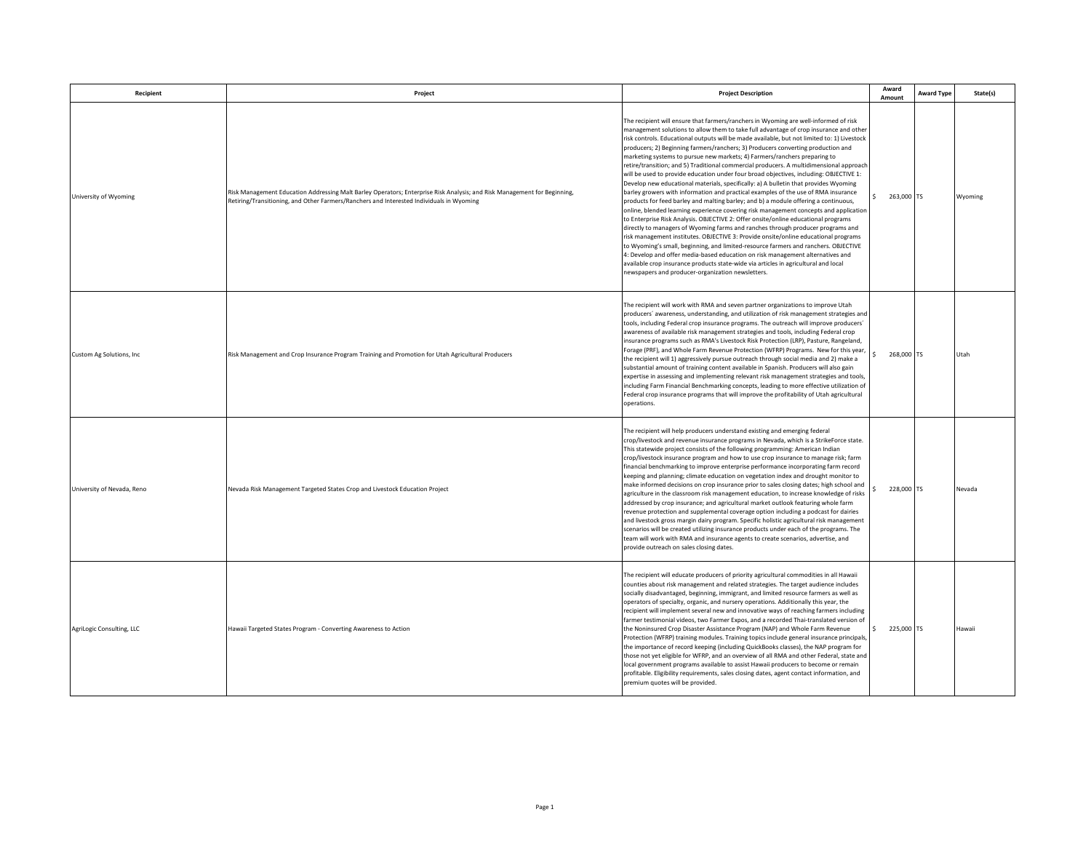| Recipient                  | Project                                                                                                                                                                                                              | <b>Project Description</b>                                                                                                                                                                                                                                                                                                                                                                                                                                                                                                                                                                                                                                                                                                                                                                                                                                                                                                                                                                                                                                                                                                                                                                                                                                                                                                                                                                                                                                                                                                                                                            | Award<br>Amount            | <b>Award Type</b> | State(s) |
|----------------------------|----------------------------------------------------------------------------------------------------------------------------------------------------------------------------------------------------------------------|---------------------------------------------------------------------------------------------------------------------------------------------------------------------------------------------------------------------------------------------------------------------------------------------------------------------------------------------------------------------------------------------------------------------------------------------------------------------------------------------------------------------------------------------------------------------------------------------------------------------------------------------------------------------------------------------------------------------------------------------------------------------------------------------------------------------------------------------------------------------------------------------------------------------------------------------------------------------------------------------------------------------------------------------------------------------------------------------------------------------------------------------------------------------------------------------------------------------------------------------------------------------------------------------------------------------------------------------------------------------------------------------------------------------------------------------------------------------------------------------------------------------------------------------------------------------------------------|----------------------------|-------------------|----------|
| University of Wyoming      | Risk Management Education Addressing Malt Barley Operators; Enterprise Risk Analysis; and Risk Management for Beginning,<br>Retiring/Transitioning, and Other Farmers/Ranchers and Interested Individuals in Wyoming | The recipient will ensure that farmers/ranchers in Wyoming are well-informed of risk<br>management solutions to allow them to take full advantage of crop insurance and other<br>risk controls. Educational outputs will be made available, but not limited to: 1) Livestock<br>producers; 2) Beginning farmers/ranchers; 3) Producers converting production and<br>marketing systems to pursue new markets; 4) Farmers/ranchers preparing to<br>retire/transition; and 5) Traditional commercial producers. A multidimensional approach<br>will be used to provide education under four broad objectives, including: OBJECTIVE 1:<br>Develop new educational materials, specifically: a) A bulletin that provides Wyoming<br>barley growers with information and practical examples of the use of RMA insurance<br>products for feed barley and malting barley; and b) a module offering a continuous,<br>online, blended learning experience covering risk management concepts and application<br>to Enterprise Risk Analysis. OBJECTIVE 2: Offer onsite/online educational programs<br>directly to managers of Wyoming farms and ranches through producer programs and<br>risk management institutes. OBJECTIVE 3: Provide onsite/online educational programs<br>to Wyoming's small, beginning, and limited-resource farmers and ranchers. OBJECTIVE<br>4: Develop and offer media-based education on risk management alternatives and<br>available crop insurance products state-wide via articles in agricultural and local<br>newspapers and producer-organization newsletters. | 263,000 TS                 |                   | Wyoming  |
| Custom Ag Solutions, Inc.  | Risk Management and Crop Insurance Program Training and Promotion for Utah Agricultural Producers                                                                                                                    | The recipient will work with RMA and seven partner organizations to improve Utah<br>oroducers' awareness, understanding, and utilization of risk management strategies and<br>tools, including Federal crop insurance programs. The outreach will improve producers'<br>awareness of available risk management strategies and tools, including Federal crop<br>insurance programs such as RMA's Livestock Risk Protection (LRP), Pasture, Rangeland,<br>Forage (PRF), and Whole Farm Revenue Protection (WFRP) Programs. New for this year,<br>the recipient will 1) aggressively pursue outreach through social media and 2) make a<br>substantial amount of training content available in Spanish. Producers will also gain<br>expertise in assessing and implementing relevant risk management strategies and tools,<br>including Farm Financial Benchmarking concepts, leading to more effective utilization of<br>Federal crop insurance programs that will improve the profitability of Utah agricultural<br>operations.                                                                                                                                                                                                                                                                                                                                                                                                                                                                                                                                                        | 268,000 TS                 |                   | Utah     |
| University of Nevada, Reno | Nevada Risk Management Targeted States Crop and Livestock Education Project                                                                                                                                          | The recipient will help producers understand existing and emerging federal<br>crop/livestock and revenue insurance programs in Nevada, which is a StrikeForce state.<br>This statewide project consists of the following programming: American Indian<br>trop/livestock insurance program and how to use crop insurance to manage risk; farm<br>inancial benchmarking to improve enterprise performance incorporating farm record<br>keeping and planning; climate education on vegetation index and drought monitor to<br>make informed decisions on crop insurance prior to sales closing dates; high school and<br>agriculture in the classroom risk management education, to increase knowledge of risks<br>addressed by crop insurance; and agricultural market outlook featuring whole farm<br>revenue protection and supplemental coverage option including a podcast for dairies<br>and livestock gross margin dairy program. Specific holistic agricultural risk management<br>scenarios will be created utilizing insurance products under each of the programs. The<br>team will work with RMA and insurance agents to create scenarios, advertise, and<br>provide outreach on sales closing dates.                                                                                                                                                                                                                                                                                                                                                                        | 228,000 TS                 |                   | Nevada   |
| AgriLogic Consulting, LLC  | Hawaii Targeted States Program - Converting Awareness to Action                                                                                                                                                      | The recipient will educate producers of priority agricultural commodities in all Hawaii<br>counties about risk management and related strategies. The target audience includes<br>socially disadvantaged, beginning, immigrant, and limited resource farmers as well as<br>operators of specialty, organic, and nursery operations. Additionally this year, the<br>recipient will implement several new and innovative ways of reaching farmers including<br>farmer testimonial videos, two Farmer Expos, and a recorded Thai-translated version of<br>the Noninsured Crop Disaster Assistance Program (NAP) and Whole Farm Revenue<br>Protection (WFRP) training modules. Training topics include general insurance principals,<br>the importance of record keeping (including QuickBooks classes), the NAP program for<br>those not yet eligible for WFRP, and an overview of all RMA and other Federal, state and<br>local government programs available to assist Hawaii producers to become or remain<br>profitable. Eligibility requirements, sales closing dates, agent contact information, and<br>premium quotes will be provided.                                                                                                                                                                                                                                                                                                                                                                                                                                           | $\mathbf{s}$<br>225,000 TS |                   | Hawaii   |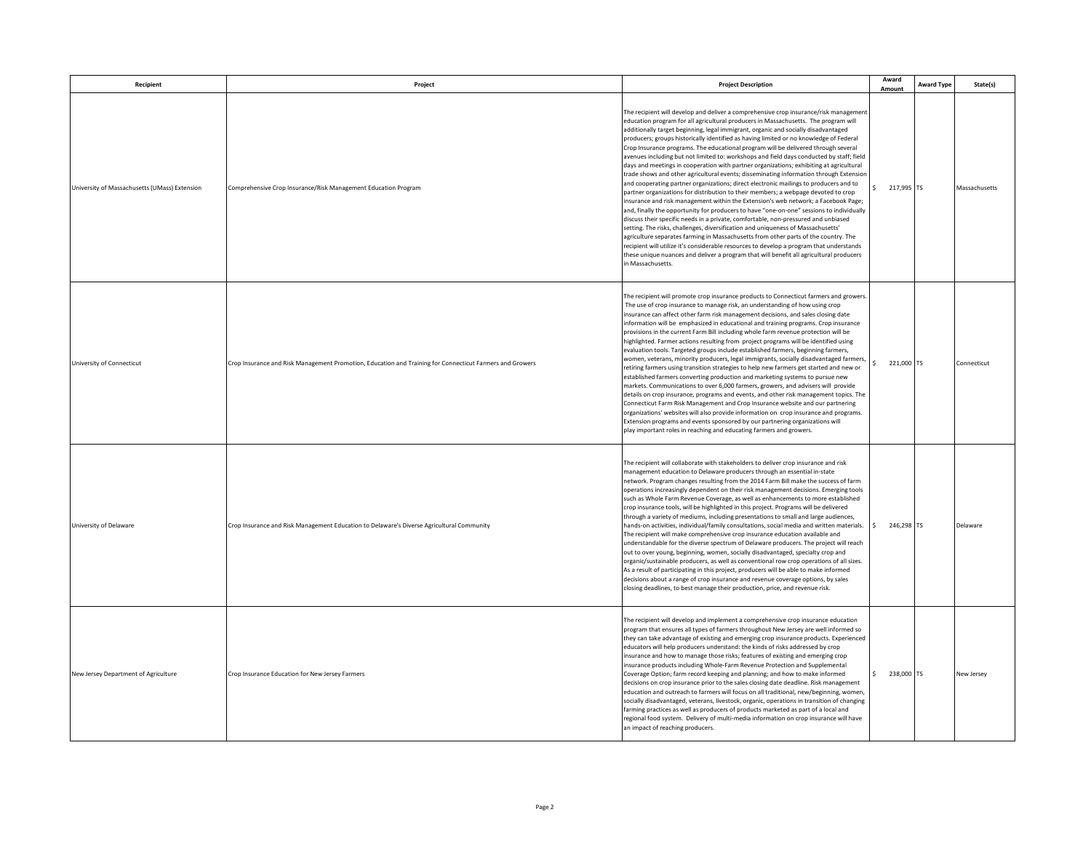| Recipient                                     | Project                                                                                                  | <b>Project Description</b>                                                                                                                                                                                                                                                                                                                                                                                                                                                                                                                                                                                                                                                                                                                                                                                                                                                                                                                                                                                                                                                                                                                                                                                                                                                                                                                                                                                                                                                                                                                                                        | Award<br>Amount            | <b>Award Type</b> | State(s)      |
|-----------------------------------------------|----------------------------------------------------------------------------------------------------------|-----------------------------------------------------------------------------------------------------------------------------------------------------------------------------------------------------------------------------------------------------------------------------------------------------------------------------------------------------------------------------------------------------------------------------------------------------------------------------------------------------------------------------------------------------------------------------------------------------------------------------------------------------------------------------------------------------------------------------------------------------------------------------------------------------------------------------------------------------------------------------------------------------------------------------------------------------------------------------------------------------------------------------------------------------------------------------------------------------------------------------------------------------------------------------------------------------------------------------------------------------------------------------------------------------------------------------------------------------------------------------------------------------------------------------------------------------------------------------------------------------------------------------------------------------------------------------------|----------------------------|-------------------|---------------|
| University of Massachusetts (UMass) Extension | Comprehensive Crop Insurance/Risk Management Education Program                                           | The recipient will develop and deliver a comprehensive crop insurance/risk management<br>education program for all agricultural producers in Massachusetts. The program will<br>additionally target beginning, legal immigrant, organic and socially disadvantaged<br>producers; groups historically identified as having limited or no knowledge of Federal<br>Crop Insurance programs. The educational program will be delivered through several<br>avenues including but not limited to: workshops and field days conducted by staff; field<br>days and meetings in cooperation with partner organizations; exhibiting at agricultural<br>trade shows and other agricultural events; disseminating information through Extensior<br>and cooperating partner organizations; direct electronic mailings to producers and to<br>partner organizations for distribution to their members; a webpage devoted to crop<br>insurance and risk management within the Extension's web network; a Facebook Page;<br>and, finally the opportunity for producers to have "one-on-one" sessions to individually<br>discuss their specific needs in a private, comfortable, non-pressured and unbiased<br>setting. The risks, challenges, diversification and uniqueness of Massachusetts'<br>agriculture separates farming in Massachusetts from other parts of the country. The<br>recipient will utilize it's considerable resources to develop a program that understands<br>these unique nuances and deliver a program that will benefit all agricultural producers<br>in Massachusetts. | $$217,995$ TS              |                   | Massachusetts |
| University of Connecticut                     | Crop Insurance and Risk Management Promotion, Education and Training for Connecticut Farmers and Growers | The recipient will promote crop insurance products to Connecticut farmers and growers<br>The use of crop insurance to manage risk, an understanding of how using crop<br>insurance can affect other farm risk management decisions, and sales closing date<br>information will be emphasized in educational and training programs. Crop insurance<br>provisions in the current Farm Bill including whole farm revenue protection will be<br>highlighted. Farmer actions resulting from project programs will be identified using<br>evaluation tools. Targeted groups include established farmers, beginning farmers,<br>women, veterans, minority producers, legal immigrants, socially disadvantaged farmers<br>retiring farmers using transition strategies to help new farmers get started and new or<br>established farmers converting production and marketing systems to pursue new<br>markets. Communications to over 6,000 farmers, growers, and advisers will provide<br>details on crop insurance, programs and events, and other risk management topics. The<br>Connecticut Farm Risk Management and Crop Insurance website and our partnering<br>organizations' websites will also provide information on crop insurance and programs.<br>Extension programs and events sponsored by our partnering organizations will<br>play important roles in reaching and educating farmers and growers.                                                                                                                                                                        | 221,000 TS                 |                   | Connecticut   |
| University of Delaware                        | Crop Insurance and Risk Management Education to Delaware's Diverse Agricultural Community                | The recipient will collaborate with stakeholders to deliver crop insurance and risk<br>management education to Delaware producers through an essential in-state<br>network. Program changes resulting from the 2014 Farm Bill make the success of farm<br>operations increasingly dependent on their risk management decisions. Emerging tools<br>such as Whole Farm Revenue Coverage, as well as enhancements to more established<br>crop insurance tools, will be highlighted in this project. Programs will be delivered<br>through a variety of mediums, including presentations to small and large audiences,<br>hands-on activities, individual/family consultations, social media and written materials.<br>The recipient will make comprehensive crop insurance education available and<br>understandable for the diverse spectrum of Delaware producers. The project will reach<br>out to over young, beginning, women, socially disadvantaged, specialty crop and<br>organic/sustainable producers, as well as conventional row crop operations of all sizes.<br>As a result of participating in this project, producers will be able to make informed<br>decisions about a range of crop insurance and revenue coverage options, by sales<br>closing deadlines, to best manage their production, price, and revenue risk.                                                                                                                                                                                                                                              | $\mathsf{s}$<br>246,298 TS |                   | Delaware      |
| New Jersey Department of Agriculture          | Crop Insurance Education for New Jersey Farmers                                                          | The recipient will develop and implement a comprehensive crop insurance education<br>program that ensures all types of farmers throughout New Jersey are well informed so<br>they can take advantage of existing and emerging crop insurance products. Experienced<br>educators will help producers understand: the kinds of risks addressed by crop<br>insurance and how to manage those risks; features of existing and emerging crop<br>insurance products including Whole-Farm Revenue Protection and Supplemental<br>Coverage Option; farm record keeping and planning; and how to make informed<br>decisions on crop insurance prior to the sales closing date deadline. Risk management<br>education and outreach to farmers will focus on all traditional, new/beginning, women,<br>socially disadvantaged, veterans, livestock, organic, operations in transition of changing<br>farming practices as well as producers of products marketed as part of a local and<br>regional food system. Delivery of multi-media information on crop insurance will have<br>an impact of reaching producers.                                                                                                                                                                                                                                                                                                                                                                                                                                                                         | \$ 238,000 TS              |                   | New Jersey    |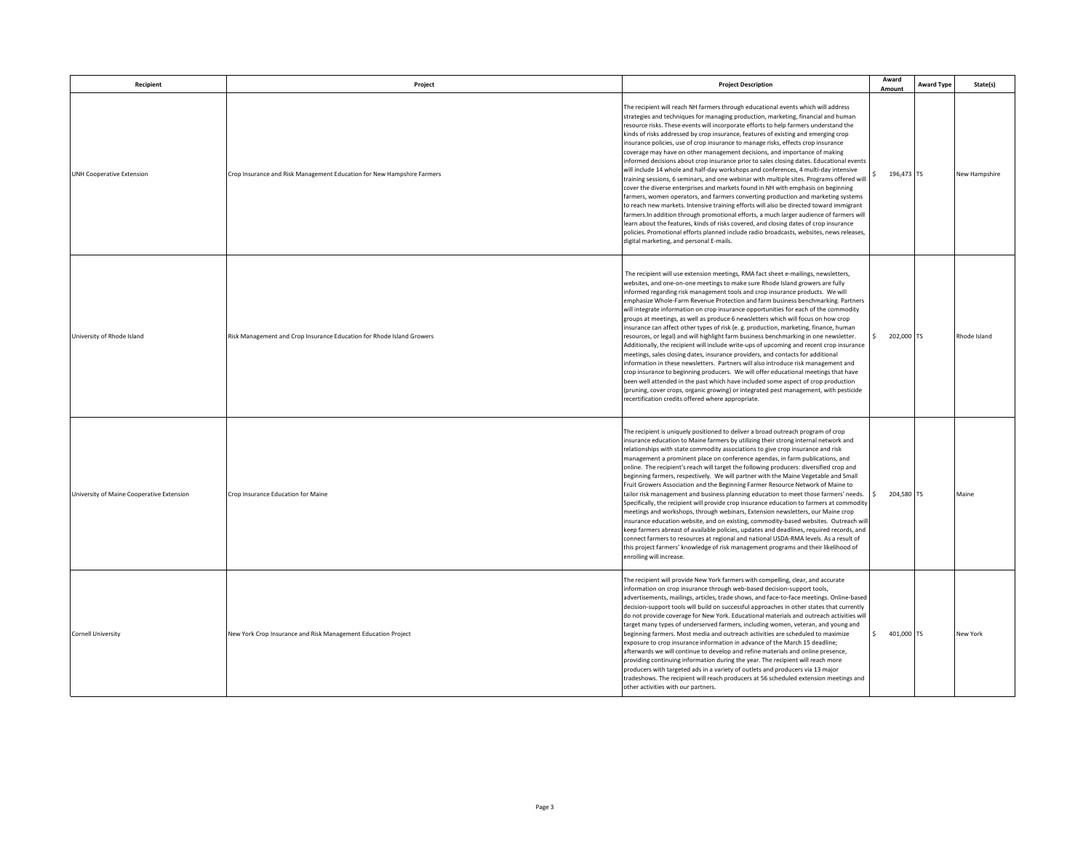| Recipient                                 | Project                                                                | <b>Project Description</b>                                                                                                                                                                                                                                                                                                                                                                                                                                                                                                                                                                                                                                                                                                                                                                                                                                                                                                                                                                                                                                                                                                                                                                                                                                                                                                                                                                             | Award<br>Amount      | <b>Award Type</b> | State(s)      |
|-------------------------------------------|------------------------------------------------------------------------|--------------------------------------------------------------------------------------------------------------------------------------------------------------------------------------------------------------------------------------------------------------------------------------------------------------------------------------------------------------------------------------------------------------------------------------------------------------------------------------------------------------------------------------------------------------------------------------------------------------------------------------------------------------------------------------------------------------------------------------------------------------------------------------------------------------------------------------------------------------------------------------------------------------------------------------------------------------------------------------------------------------------------------------------------------------------------------------------------------------------------------------------------------------------------------------------------------------------------------------------------------------------------------------------------------------------------------------------------------------------------------------------------------|----------------------|-------------------|---------------|
| <b>UNH Cooperative Extension</b>          | Crop Insurance and Risk Management Education for New Hampshire Farmers | The recipient will reach NH farmers through educational events which will address<br>strategies and techniques for managing production, marketing, financial and human<br>resource risks. These events will incorporate efforts to help farmers understand the<br>kinds of risks addressed by crop insurance, features of existing and emerging crop<br>insurance policies, use of crop insurance to manage risks, effects crop insurance<br>coverage may have on other management decisions, and importance of making<br>informed decisions about crop insurance prior to sales closing dates. Educational events<br>will include 14 whole and half-day workshops and conferences, 4 multi-day intensive<br>training sessions, 6 seminars, and one webinar with multiple sites. Programs offered will<br>cover the diverse enterprises and markets found in NH with emphasis on beginning<br>farmers, women operators, and farmers converting production and marketing systems<br>to reach new markets. Intensive training efforts will also be directed toward immigrant<br>farmers.In addition through promotional efforts, a much larger audience of farmers will<br>learn about the features, kinds of risks covered, and closing dates of crop insurance<br>policies. Promotional efforts planned include radio broadcasts, websites, news releases,<br>digital marketing, and personal E-mails. | 196,473 TS           |                   | New Hampshire |
| University of Rhode Island                | Risk Management and Crop Insurance Education for Rhode Island Growers  | The recipient will use extension meetings, RMA fact sheet e-mailings, newsletters,<br>websites, and one-on-one meetings to make sure Rhode Island growers are fully<br>informed regarding risk management tools and crop insurance products. We will<br>emphasize Whole-Farm Revenue Protection and farm business benchmarking. Partners<br>will integrate information on crop insurance opportunities for each of the commodity<br>groups at meetings, as well as produce 6 newsletters which will focus on how crop<br>insurance can affect other types of risk (e. g. production, marketing, finance, human<br>resources, or legal) and will highlight farm business benchmarking in one newsletter.<br>Additionally, the recipient will include write-ups of upcoming and recent crop insurance<br>meetings, sales closing dates, insurance providers, and contacts for additional<br>information in these newsletters. Partners will also introduce risk management and<br>crop insurance to beginning producers. We will offer educational meetings that have<br>been well attended in the past which have included some aspect of crop production<br>(pruning, cover crops, organic growing) or integrated pest management, with pesticide<br>recertification credits offered where appropriate.                                                                                                | 202,000 TS<br>S.     |                   | Rhode Island  |
| University of Maine Cooperative Extension | Crop Insurance Education for Maine                                     | The recipient is uniquely positioned to deliver a broad outreach program of crop<br>insurance education to Maine farmers by utilizing their strong internal network and<br>relationships with state commodity associations to give crop insurance and risk<br>management a prominent place on conference agendas, in farm publications, and<br>online. The recipient's reach will target the following producers: diversified crop and<br>beginning farmers, respectively. We will partner with the Maine Vegetable and Small<br>Fruit Growers Association and the Beginning Farmer Resource Network of Maine to<br>tailor risk management and business planning education to meet those farmers' needs. \$<br>Specifically, the recipient will provide crop insurance education to farmers at commodity<br>meetings and workshops, through webinars, Extension newsletters, our Maine crop<br>insurance education website, and on existing, commodity-based websites. Outreach will<br>keep farmers abreast of available policies, updates and deadlines, required records, and<br>connect farmers to resources at regional and national USDA-RMA levels. As a result of<br>this project farmers' knowledge of risk management programs and their likelihood of<br>enrolling will increase.                                                                                                           | 204,580 TS           |                   | Maine         |
| <b>Cornell University</b>                 | New York Crop Insurance and Risk Management Education Project          | The recipient will provide New York farmers with compelling, clear, and accurate<br>information on crop insurance through web-based decision-support tools,<br>advertisements, mailings, articles, trade shows, and face-to-face meetings. Online-based<br>decision-support tools will build on successful approaches in other states that currently<br>do not provide coverage for New York. Educational materials and outreach activities will<br>target many types of underserved farmers, including women, veteran, and young and<br>beginning farmers. Most media and outreach activities are scheduled to maximize<br>exposure to crop insurance information in advance of the March 15 deadline;<br>afterwards we will continue to develop and refine materials and online presence,<br>providing continuing information during the year. The recipient will reach more<br>producers with targeted ads in a variety of outlets and producers via 13 major<br>tradeshows. The recipient will reach producers at 56 scheduled extension meetings and<br>other activities with our partners.                                                                                                                                                                                                                                                                                                       | $\sim$<br>401,000 TS |                   | New York      |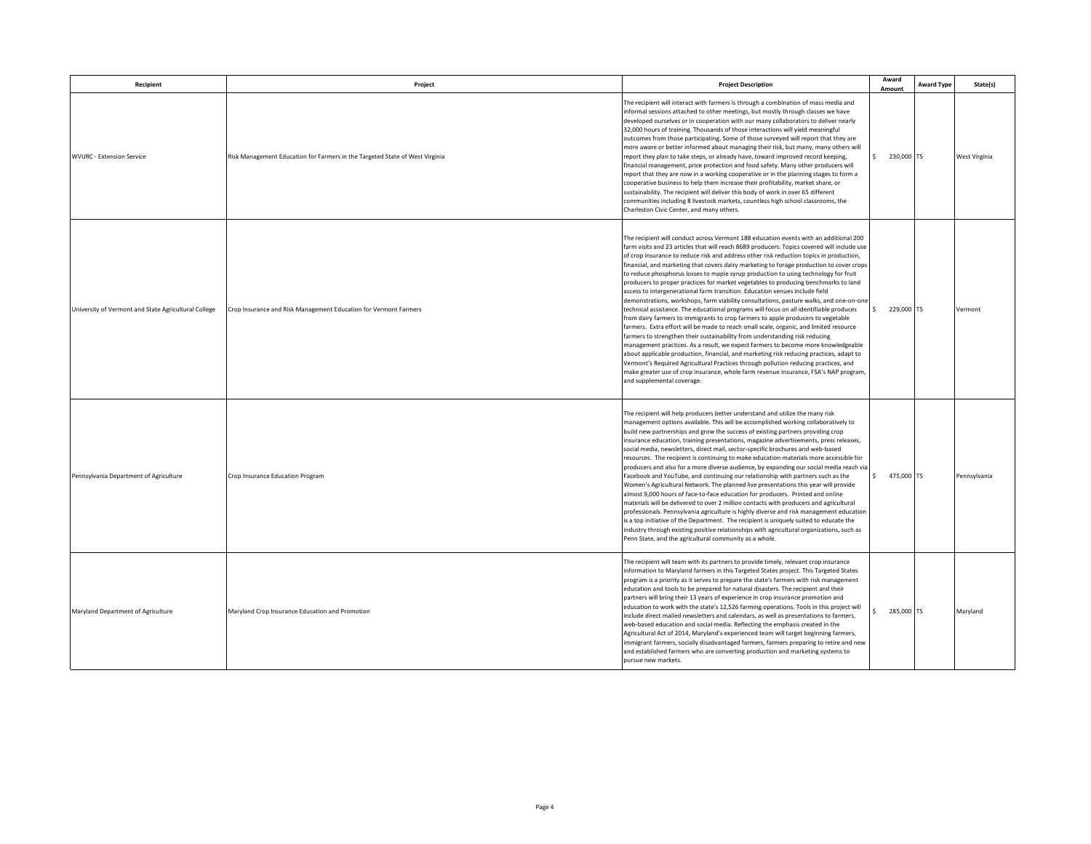| Recipient                                            | Project                                                                      | <b>Project Description</b>                                                                                                                                                                                                                                                                                                                                                                                                                                                                                                                                                                                                                                                                                                                                                                                                                                                                                                                                                                                                                                                                                                                                                                                                                                                                                                                                                                                                                                                             | Award<br>Amount            | <b>Award Type</b> | State(s)      |
|------------------------------------------------------|------------------------------------------------------------------------------|----------------------------------------------------------------------------------------------------------------------------------------------------------------------------------------------------------------------------------------------------------------------------------------------------------------------------------------------------------------------------------------------------------------------------------------------------------------------------------------------------------------------------------------------------------------------------------------------------------------------------------------------------------------------------------------------------------------------------------------------------------------------------------------------------------------------------------------------------------------------------------------------------------------------------------------------------------------------------------------------------------------------------------------------------------------------------------------------------------------------------------------------------------------------------------------------------------------------------------------------------------------------------------------------------------------------------------------------------------------------------------------------------------------------------------------------------------------------------------------|----------------------------|-------------------|---------------|
| <b>WVURC - Extension Service</b>                     | Risk Management Education for Farmers in the Targeted State of West Virginia | The recipient will interact with farmers is through a combination of mass media and<br>informal sessions attached to other meetings, but mostly through classes we have<br>developed ourselves or in cooperation with our many collaborators to deliver nearly<br>32,000 hours of training. Thousands of those interactions will yield meaningful<br>outcomes from those participating. Some of those surveyed will report that they are<br>more aware or better informed about managing their risk, but many, many others will<br>report they plan to take steps, or already have, toward improved record keeping,<br>financial management, price protection and food safety. Many other producers will<br>report that they are now in a working cooperative or in the planning stages to form a<br>cooperative business to help them increase their profitability, market share, or<br>sustainability. The recipient will deliver this body of work in over 65 different<br>communities including 8 livestock markets, countless high school classrooms, the<br>Charleston Civic Center, and many others.                                                                                                                                                                                                                                                                                                                                                                            | \$ 230,000 TS              |                   | West Virginia |
| University of Vermont and State Agricultural College | Crop Insurance and Risk Management Education for Vermont Farmers             | The recipient will conduct across Vermont 188 education events with an additional 200<br>farm visits and 23 articles that will reach 8689 producers. Topics covered will include use<br>of crop insurance to reduce risk and address other risk reduction topics in production,<br>financial, and marketing that covers dairy marketing to forage production to cover crops<br>to reduce phosphorus losses to maple syrup production to using technology for fruit<br>producers to proper practices for market vegetables to producing benchmarks to land<br>access to intergenerational farm transition. Education venues include field<br>demonstrations, workshops, farm viability consultations, pasture walks, and one-on-one<br>technical assistance. The educational programs will focus on all identifiable produces<br>from dairy farmers to immigrants to crop farmers to apple producers to vegetable<br>farmers. Extra effort will be made to reach small scale, organic, and limited resource<br>farmers to strengthen their sustainability from understanding risk reducing<br>management practices. As a result, we expect farmers to become more knowledgeable<br>about applicable production, financial, and marketing risk reducing practices, adapt to<br>Vermont's Required Agricultural Practices through pollution reducing practices, and<br>make greater use of crop insurance, whole farm revenue insurance, FSA's NAP program,<br>and supplemental coverage. | $\mathsf{S}$<br>229,000 TS |                   | Vermont       |
| Pennsylvania Department of Agriculture               | Crop Insurance Education Program                                             | The recipient will help producers better understand and utilize the many risk<br>management options available. This will be accomplished working collaboratively to<br>build new partnerships and grow the success of existing partners providing crop<br>insurance education, training presentations, magazine advertisements, press releases,<br>social media, newsletters, direct mail, sector-specific brochures and web-based<br>resources. The recipient is continuing to make education materials more accessible for<br>producers and also for a more diverse audience, by expanding our social media reach via<br>Facebook and YouTube, and continuing our relationship with partners such as the<br>Women's Agricultural Network. The planned live presentations this year will provide<br>almost 9,000 hours of face-to-face education for producers. Printed and online<br>materials will be delivered to over 2 million contacts with producers and agricultural<br>professionals. Pennsylvania agriculture is highly diverse and risk management education<br>is a top initiative of the Department. The recipient is uniquely suited to educate the<br>industry through existing positive relationships with agricultural organizations, such as<br>Penn State, and the agricultural community as a whole.                                                                                                                                                              | $\sim$<br>475,000 TS       |                   | Pennsylvania  |
| Maryland Department of Agriculture                   | Maryland Crop Insurance Education and Promotion                              | The recipient will team with its partners to provide timely, relevant crop insurance<br>information to Maryland farmers in this Targeted States project. This Targeted States<br>program is a priority as it serves to prepare the state's farmers with risk management<br>education and tools to be prepared for natural disasters. The recipient and their<br>partners will bring their 13 years of experience in crop insurance promotion and<br>education to work with the state's 12,526 farming operations. Tools in this project will<br>include direct mailed newsletters and calendars, as well as presentations to farmers,<br>web-based education and social media. Reflecting the emphasis created in the<br>Agricultural Act of 2014, Maryland's experienced team will target beginning farmers,<br>immigrant farmers, socially disadvantaged farmers, farmers preparing to retire and new<br>and established farmers who are converting production and marketing systems to<br>pursue new markets.                                                                                                                                                                                                                                                                                                                                                                                                                                                                       | 285,000 TS                 |                   | Maryland      |